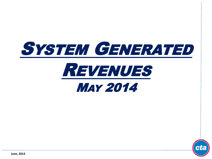

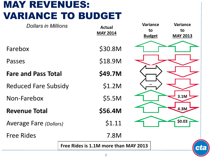## MAY REVENUES: VARIANCE TO BUDGET

| <b>Dollars in Millions</b>            | <b>Actual</b><br><b>MAY 2014</b> | <b>Variance</b><br>to<br><b>Budget</b> | <b>Variance</b><br>to<br><b>MAY 2013</b> |
|---------------------------------------|----------------------------------|----------------------------------------|------------------------------------------|
| Farebox                               | \$30.8M                          |                                        |                                          |
| Passes                                | \$18.9M                          |                                        |                                          |
| <b>Fare and Pass Total</b>            | \$49.7M                          |                                        |                                          |
| <b>Reduced Fare Subsidy</b>           | \$1.2M                           |                                        |                                          |
| Non-Farebox                           | \$5.5M                           |                                        | 3.1M                                     |
| <b>Revenue Total</b>                  | \$56.4M                          |                                        | 4.3M                                     |
| <b>Average Fare (Dollars)</b>         | \$1.11                           |                                        | \$0.03\$                                 |
| <b>Free Rides</b>                     | 7.8M                             |                                        |                                          |
| Free Rides is 1.1M more than MAY 2013 |                                  |                                        | ct                                       |
|                                       |                                  |                                        |                                          |

 $\epsilon$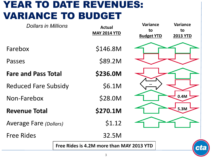#### YEAR TO DATE REVENUES: VARIANCE TO BUDGET

| <b>Dollars in Millions</b>    | <b>Actual</b><br><b>MAY 2014 YTD</b>      | <b>Variance</b><br>to<br><b>Budget YTD</b> | <b>Variance</b><br>to<br><b>2013 YTD</b> |
|-------------------------------|-------------------------------------------|--------------------------------------------|------------------------------------------|
| Farebox                       | \$146.8M                                  |                                            |                                          |
| Passes                        | \$89.2M                                   |                                            |                                          |
| <b>Fare and Pass Total</b>    | \$236.0M                                  |                                            |                                          |
| <b>Reduced Fare Subsidy</b>   | \$6.1M                                    |                                            |                                          |
| Non-Farebox                   | \$28.0M                                   |                                            | 0.4M                                     |
| <b>Revenue Total</b>          | \$270.1M                                  |                                            | 5.3M                                     |
| <b>Average Fare (Dollars)</b> | \$1.12                                    |                                            |                                          |
| <b>Free Rides</b>             | 32.5M                                     |                                            |                                          |
|                               | Free Rides is 4.2M more than MAY 2013 YTD |                                            | CL                                       |
|                               |                                           |                                            |                                          |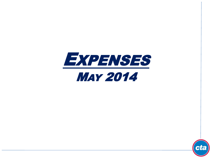

# MAY 2014

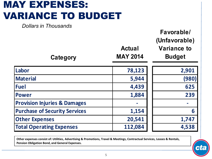## MAY EXPENSES: VARIANCE TO BUDGET

*Dollars in Thousands*

| Category                                | <b>Actual</b><br><b>MAY 2014</b> | Favorable/<br>(Unfavorable)<br><b>Variance to</b><br><b>Budget</b> |
|-----------------------------------------|----------------------------------|--------------------------------------------------------------------|
| Labor                                   | 78,123                           | 2,901                                                              |
| <b>Material</b>                         | 5,944                            | (980)                                                              |
| <b>Fuel</b>                             | 4,439                            | 625                                                                |
| <b>Power</b>                            | 1,884                            | 239                                                                |
| <b>Provision Injuries &amp; Damages</b> |                                  |                                                                    |
| <b>Purchase of Security Services</b>    | 1,154                            | 6                                                                  |
| <b>Other Expenses</b>                   | 20,541                           | 1,747                                                              |
| <b>Total Operating Expenses</b>         | 112,084                          | 4,538                                                              |

**Other expenses consist of: Utilities, Advertising & Promotions, Travel & Meetings, Contractual Services, Leases & Rentals, Pension Obligation Bond, and General Expenses.**

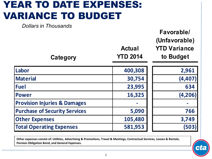#### YEAR TO DATE EXPENSES: VARIANCE TO BUDGET

*Dollars in Thousands*

**Category**

**Actual** 

**Favorable/** 

**(Unfavorable)** 

**YTD Variance** 

**to Budget**

**YTD 2014**

| Labor                                   | 400,308 | 2,961    |
|-----------------------------------------|---------|----------|
| Material                                | 30,754  | (4,407)  |
| <b>Fuel</b>                             | 23,995  | 634      |
| <b>Power</b>                            | 16,325  | (4, 206) |
| <b>Provision Injuries &amp; Damages</b> |         |          |
| <b>Purchase of Security Services</b>    | 5,090   | 766      |
| <b>Other Expenses</b>                   | 105,480 | 3,749    |
| <b>Total Operating Expenses</b>         | 581,953 | (503)    |

**Other expenses consist of: Utilities, Advertising & Promotions, Travel & Meetings, Contractual Services, Leases & Rentals, Pension Obligation Bond, and General Expenses.**